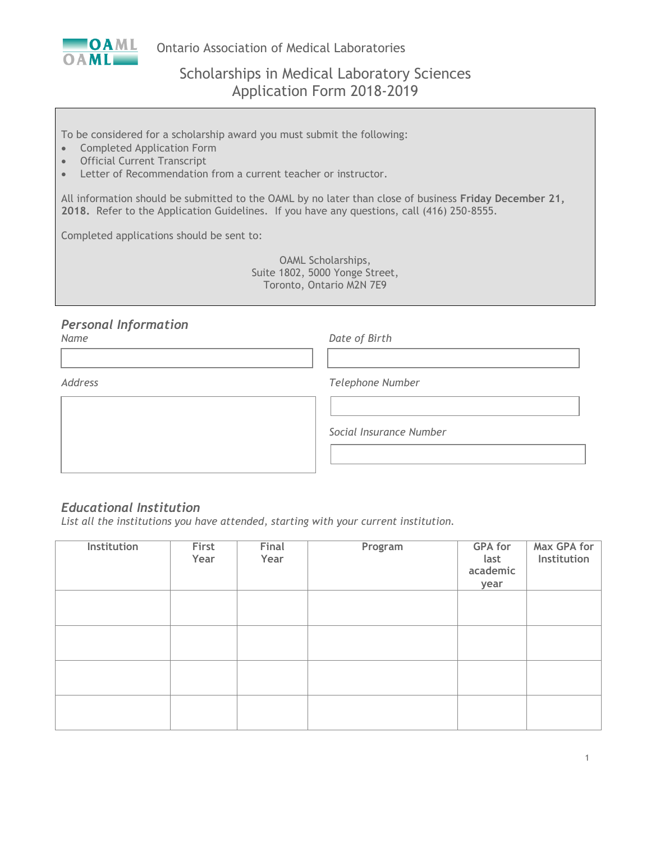

# Scholarships in Medical Laboratory Sciences Application Form 2018-2019

To be considered for a scholarship award you must submit the following:

- Completed Application Form
- Official Current Transcript
- Letter of Recommendation from a current teacher or instructor.

All information should be submitted to the OAML by no later than close of business **Friday December 21, 2018.** Refer to the Application Guidelines. If you have any questions, call (416) 250-8555.

Completed applications should be sent to:

OAML Scholarships, Suite 1802, 5000 Yonge Street, Toronto, Ontario M2N 7E9

## *Personal Information*

| Name           | Date of Birth           |
|----------------|-------------------------|
|                |                         |
| <b>Address</b> | Telephone Number        |
|                |                         |
|                | Social Insurance Number |
|                |                         |

### *Educational Institution*

*List all the institutions you have attended, starting with your current institution.*

| Institution | First<br>Year | Final<br>Year | Program | <b>GPA for</b><br>last<br>academic<br>year | Max GPA for<br>Institution |
|-------------|---------------|---------------|---------|--------------------------------------------|----------------------------|
|             |               |               |         |                                            |                            |
|             |               |               |         |                                            |                            |
|             |               |               |         |                                            |                            |
|             |               |               |         |                                            |                            |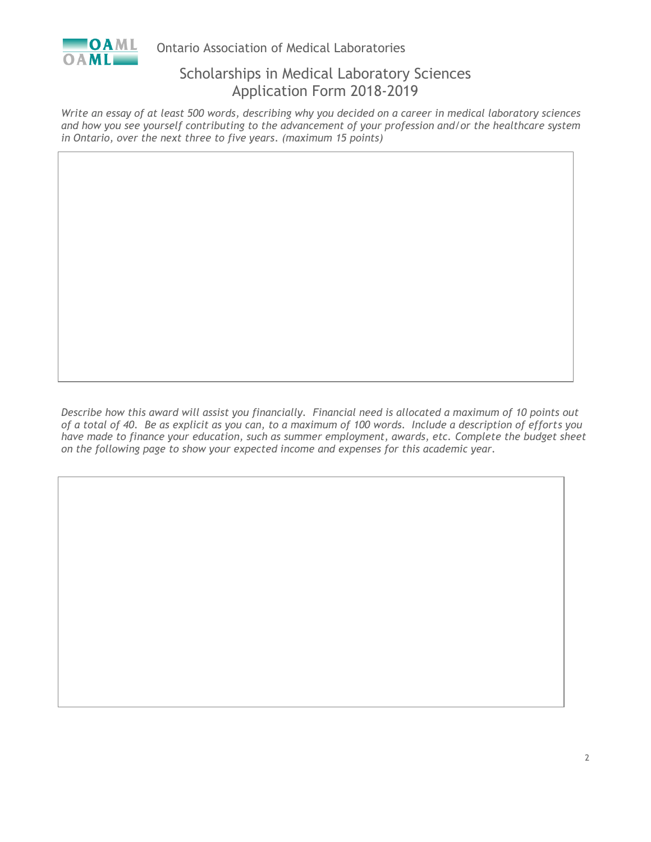

# Scholarships in Medical Laboratory Sciences Application Form 2018-2019

*Write an essay of at least 500 words, describing why you decided on a career in medical laboratory sciences and how you see yourself contributing to the advancement of your profession and/or the healthcare system in Ontario, over the next three to five years. (maximum 15 points)*

*Describe how this award will assist you financially. Financial need is allocated a maximum of 10 points out of a total of 40. Be as explicit as you can, to a maximum of 100 words. Include a description of efforts you*  have made to finance your education, such as summer employment, awards, etc. Complete the budget sheet *on the following page to show your expected income and expenses for this academic year.*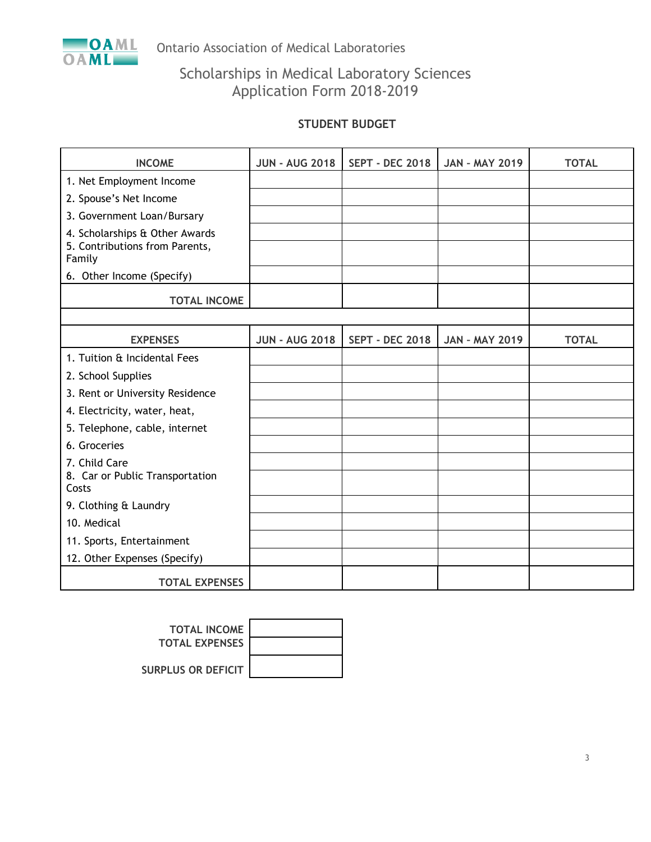

# Scholarships in Medical Laboratory Sciences Application Form 2018-2019

### **STUDENT BUDGET**

| <b>INCOME</b>                                                              | <b>JUN - AUG 2018</b> | <b>SEPT - DEC 2018</b> | <b>JAN - MAY 2019</b> | <b>TOTAL</b> |
|----------------------------------------------------------------------------|-----------------------|------------------------|-----------------------|--------------|
| 1. Net Employment Income                                                   |                       |                        |                       |              |
| 2. Spouse's Net Income                                                     |                       |                        |                       |              |
| 3. Government Loan/Bursary                                                 |                       |                        |                       |              |
| 4. Scholarships & Other Awards<br>5. Contributions from Parents,<br>Family |                       |                        |                       |              |
| 6. Other Income (Specify)                                                  |                       |                        |                       |              |
| <b>TOTAL INCOME</b>                                                        |                       |                        |                       |              |
|                                                                            |                       |                        |                       |              |
| <b>EXPENSES</b>                                                            | <b>JUN - AUG 2018</b> | <b>SEPT - DEC 2018</b> | <b>JAN - MAY 2019</b> | <b>TOTAL</b> |
| 1. Tuition & Incidental Fees                                               |                       |                        |                       |              |
| 2. School Supplies                                                         |                       |                        |                       |              |
| 3. Rent or University Residence                                            |                       |                        |                       |              |
| 4. Electricity, water, heat,                                               |                       |                        |                       |              |
| 5. Telephone, cable, internet                                              |                       |                        |                       |              |
| 6. Groceries                                                               |                       |                        |                       |              |
| 7. Child Care                                                              |                       |                        |                       |              |
| 8. Car or Public Transportation<br>Costs                                   |                       |                        |                       |              |
| 9. Clothing & Laundry                                                      |                       |                        |                       |              |
| 10. Medical                                                                |                       |                        |                       |              |
| 11. Sports, Entertainment                                                  |                       |                        |                       |              |
| 12. Other Expenses (Specify)                                               |                       |                        |                       |              |
| <b>TOTAL EXPENSES</b>                                                      |                       |                        |                       |              |

| <b>TOTAL INCOME</b><br><b>TOTAL EXPENSES</b> |
|----------------------------------------------|
| SURPLUS OR DEFICIT                           |

3